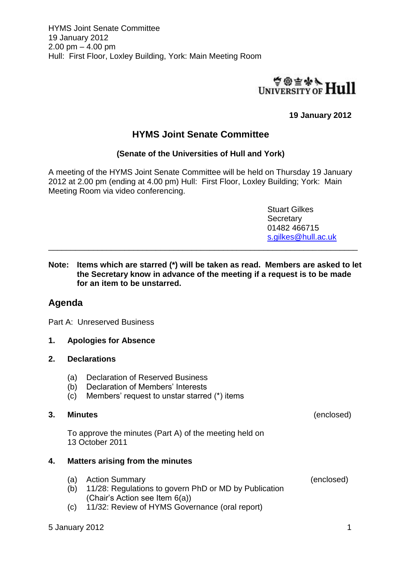

## **19 January 2012**

# **HYMS Joint Senate Committee**

#### **(Senate of the Universities of Hull and York)**

A meeting of the HYMS Joint Senate Committee will be held on Thursday 19 January 2012 at 2.00 pm (ending at 4.00 pm) Hull: First Floor, Loxley Building; York: Main Meeting Room via video conferencing.

> Stuart Gilkes **Secretary** 01482 466715 [s.gilkes@hull.ac.uk](mailto:s.gilkes@hull.ac.uk)

**Note: Items which are starred (\*) will be taken as read. Members are asked to let the Secretary know in advance of the meeting if a request is to be made for an item to be unstarred.**

\_\_\_\_\_\_\_\_\_\_\_\_\_\_\_\_\_\_\_\_\_\_\_\_\_\_\_\_\_\_\_\_\_\_\_\_\_\_\_\_\_\_\_\_\_\_\_\_\_\_\_\_\_\_\_\_\_\_\_\_\_\_\_\_\_\_\_\_\_

## **Agenda**

Part A: Unreserved Business

**1. Apologies for Absence**

#### **2. Declarations**

- (a) Declaration of Reserved Business
- (b) Declaration of Members' Interests
- (c) Members' request to unstar starred (\*) items

### **3. Minutes** (enclosed)

To approve the minutes (Part A) of the meeting held on 13 October 2011

#### **4. Matters arising from the minutes**

- (a) Action Summary (enclosed)
- (b) 11/28: Regulations to govern PhD or MD by Publication (Chair's Action see Item 6(a))
- (c) 11/32: Review of HYMS Governance (oral report)